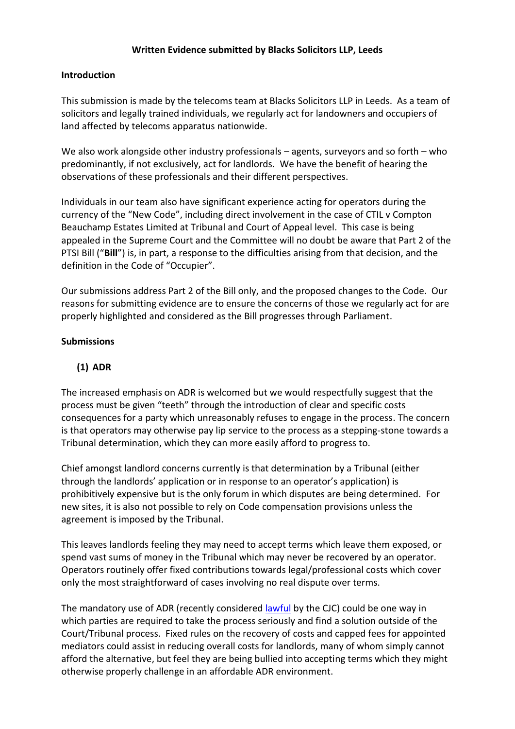### **Written Evidence submitted by Blacks Solicitors LLP, Leeds**

#### **Introduction**

This submission is made by the telecoms team at Blacks Solicitors LLP in Leeds. As a team of solicitors and legally trained individuals, we regularly act for landowners and occupiers of land affected by telecoms apparatus nationwide.

We also work alongside other industry professionals – agents, surveyors and so forth – who predominantly, if not exclusively, act for landlords. We have the benefit of hearing the observations of these professionals and their different perspectives.

Individuals in our team also have significant experience acting for operators during the currency of the "New Code", including direct involvement in the case of CTIL v Compton Beauchamp Estates Limited at Tribunal and Court of Appeal level. This case is being appealed in the Supreme Court and the Committee will no doubt be aware that Part 2 of the PTSI Bill ("**Bill**") is, in part, a response to the difficulties arising from that decision, and the definition in the Code of "Occupier".

Our submissions address Part 2 of the Bill only, and the proposed changes to the Code. Our reasons for submitting evidence are to ensure the concerns of those we regularly act for are properly highlighted and considered as the Bill progresses through Parliament.

#### **Submissions**

## **(1) ADR**

The increased emphasis on ADR is welcomed but we would respectfully suggest that the process must be given "teeth" through the introduction of clear and specific costs consequences for a party which unreasonably refuses to engage in the process. The concern is that operators may otherwise pay lip service to the process as a stepping-stone towards a Tribunal determination, which they can more easily afford to progress to.

Chief amongst landlord concerns currently is that determination by a Tribunal (either through the landlords' application or in response to an operator's application) is prohibitively expensive but is the only forum in which disputes are being determined. For new sites, it is also not possible to rely on Code compensation provisions unless the agreement is imposed by the Tribunal.

This leaves landlords feeling they may need to accept terms which leave them exposed, or spend vast sums of money in the Tribunal which may never be recovered by an operator. Operators routinely offer fixed contributions towards legal/professional costs which cover only the most straightforward of cases involving no real dispute over terms.

The mandatory use of ADR (recently considere[d lawful](https://www.judiciary.uk/announcements/mandatory-alternative-dispute-resolution-is-lawful-and-should-be-encouraged/) by the CJC) could be one way in which parties are required to take the process seriously and find a solution outside of the Court/Tribunal process. Fixed rules on the recovery of costs and capped fees for appointed mediators could assist in reducing overall costs for landlords, many of whom simply cannot afford the alternative, but feel they are being bullied into accepting terms which they might otherwise properly challenge in an affordable ADR environment.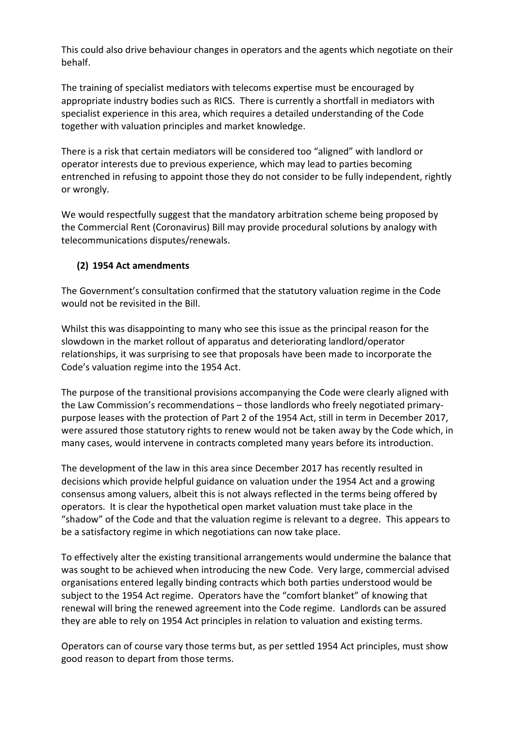This could also drive behaviour changes in operators and the agents which negotiate on their behalf.

The training of specialist mediators with telecoms expertise must be encouraged by appropriate industry bodies such as RICS. There is currently a shortfall in mediators with specialist experience in this area, which requires a detailed understanding of the Code together with valuation principles and market knowledge.

There is a risk that certain mediators will be considered too "aligned" with landlord or operator interests due to previous experience, which may lead to parties becoming entrenched in refusing to appoint those they do not consider to be fully independent, rightly or wrongly.

We would respectfully suggest that the mandatory arbitration scheme being proposed by the Commercial Rent (Coronavirus) Bill may provide procedural solutions by analogy with telecommunications disputes/renewals.

# **(2) 1954 Act amendments**

The Government's consultation confirmed that the statutory valuation regime in the Code would not be revisited in the Bill.

Whilst this was disappointing to many who see this issue as the principal reason for the slowdown in the market rollout of apparatus and deteriorating landlord/operator relationships, it was surprising to see that proposals have been made to incorporate the Code's valuation regime into the 1954 Act.

The purpose of the transitional provisions accompanying the Code were clearly aligned with the Law Commission's recommendations – those landlords who freely negotiated primarypurpose leases with the protection of Part 2 of the 1954 Act, still in term in December 2017, were assured those statutory rights to renew would not be taken away by the Code which, in many cases, would intervene in contracts completed many years before its introduction.

The development of the law in this area since December 2017 has recently resulted in decisions which provide helpful guidance on valuation under the 1954 Act and a growing consensus among valuers, albeit this is not always reflected in the terms being offered by operators. It is clear the hypothetical open market valuation must take place in the "shadow" of the Code and that the valuation regime is relevant to a degree. This appears to be a satisfactory regime in which negotiations can now take place.

To effectively alter the existing transitional arrangements would undermine the balance that was sought to be achieved when introducing the new Code. Very large, commercial advised organisations entered legally binding contracts which both parties understood would be subject to the 1954 Act regime. Operators have the "comfort blanket" of knowing that renewal will bring the renewed agreement into the Code regime. Landlords can be assured they are able to rely on 1954 Act principles in relation to valuation and existing terms.

Operators can of course vary those terms but, as per settled 1954 Act principles, must show good reason to depart from those terms.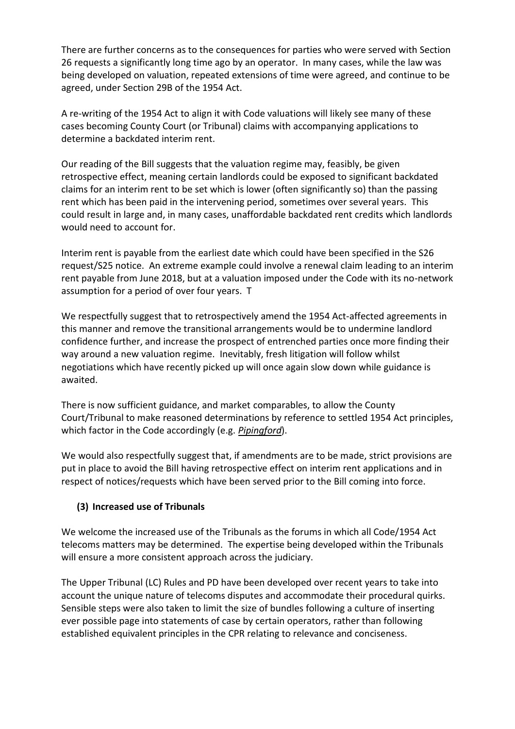There are further concerns as to the consequences for parties who were served with Section 26 requests a significantly long time ago by an operator. In many cases, while the law was being developed on valuation, repeated extensions of time were agreed, and continue to be agreed, under Section 29B of the 1954 Act.

A re-writing of the 1954 Act to align it with Code valuations will likely see many of these cases becoming County Court (or Tribunal) claims with accompanying applications to determine a backdated interim rent.

Our reading of the Bill suggests that the valuation regime may, feasibly, be given retrospective effect, meaning certain landlords could be exposed to significant backdated claims for an interim rent to be set which is lower (often significantly so) than the passing rent which has been paid in the intervening period, sometimes over several years. This could result in large and, in many cases, unaffordable backdated rent credits which landlords would need to account for.

Interim rent is payable from the earliest date which could have been specified in the S26 request/S25 notice. An extreme example could involve a renewal claim leading to an interim rent payable from June 2018, but at a valuation imposed under the Code with its no-network assumption for a period of over four years. T

We respectfully suggest that to retrospectively amend the 1954 Act-affected agreements in this manner and remove the transitional arrangements would be to undermine landlord confidence further, and increase the prospect of entrenched parties once more finding their way around a new valuation regime. Inevitably, fresh litigation will follow whilst negotiations which have recently picked up will once again slow down while guidance is awaited.

There is now sufficient guidance, and market comparables, to allow the County Court/Tribunal to make reasoned determinations by reference to settled 1954 Act principles, which factor in the Code accordingly (e.g. *Pipingford*).

We would also respectfully suggest that, if amendments are to be made, strict provisions are put in place to avoid the Bill having retrospective effect on interim rent applications and in respect of notices/requests which have been served prior to the Bill coming into force.

# **(3) Increased use of Tribunals**

We welcome the increased use of the Tribunals as the forums in which all Code/1954 Act telecoms matters may be determined. The expertise being developed within the Tribunals will ensure a more consistent approach across the judiciary.

The Upper Tribunal (LC) Rules and PD have been developed over recent years to take into account the unique nature of telecoms disputes and accommodate their procedural quirks. Sensible steps were also taken to limit the size of bundles following a culture of inserting ever possible page into statements of case by certain operators, rather than following established equivalent principles in the CPR relating to relevance and conciseness.